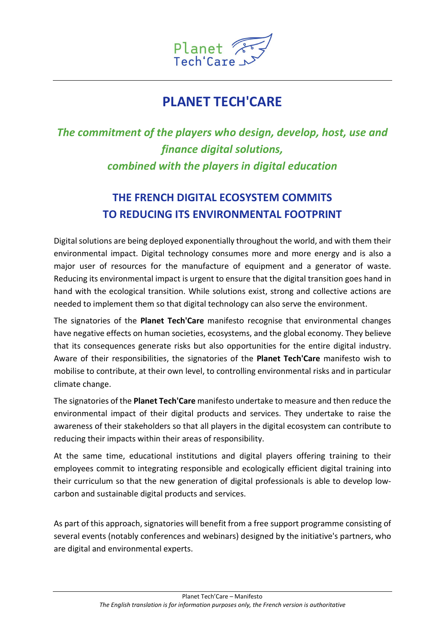

## PLANET TECH'CARE

## The commitment of the players who design, develop, host, use and finance digital solutions, combined with the players in digital education

## THE FRENCH DIGITAL ECOSYSTEM COMMITS TO REDUCING ITS ENVIRONMENTAL FOOTPRINT

Digital solutions are being deployed exponentially throughout the world, and with them their environmental impact. Digital technology consumes more and more energy and is also a major user of resources for the manufacture of equipment and a generator of waste. Reducing its environmental impact is urgent to ensure that the digital transition goes hand in hand with the ecological transition. While solutions exist, strong and collective actions are needed to implement them so that digital technology can also serve the environment.

The signatories of the Planet Tech'Care manifesto recognise that environmental changes have negative effects on human societies, ecosystems, and the global economy. They believe that its consequences generate risks but also opportunities for the entire digital industry. Aware of their responsibilities, the signatories of the Planet Tech'Care manifesto wish to mobilise to contribute, at their own level, to controlling environmental risks and in particular climate change.

The signatories of the Planet Tech'Care manifesto undertake to measure and then reduce the environmental impact of their digital products and services. They undertake to raise the awareness of their stakeholders so that all players in the digital ecosystem can contribute to reducing their impacts within their areas of responsibility.

At the same time, educational institutions and digital players offering training to their employees commit to integrating responsible and ecologically efficient digital training into their curriculum so that the new generation of digital professionals is able to develop lowcarbon and sustainable digital products and services.

As part of this approach, signatories will benefit from a free support programme consisting of several events (notably conferences and webinars) designed by the initiative's partners, who are digital and environmental experts.